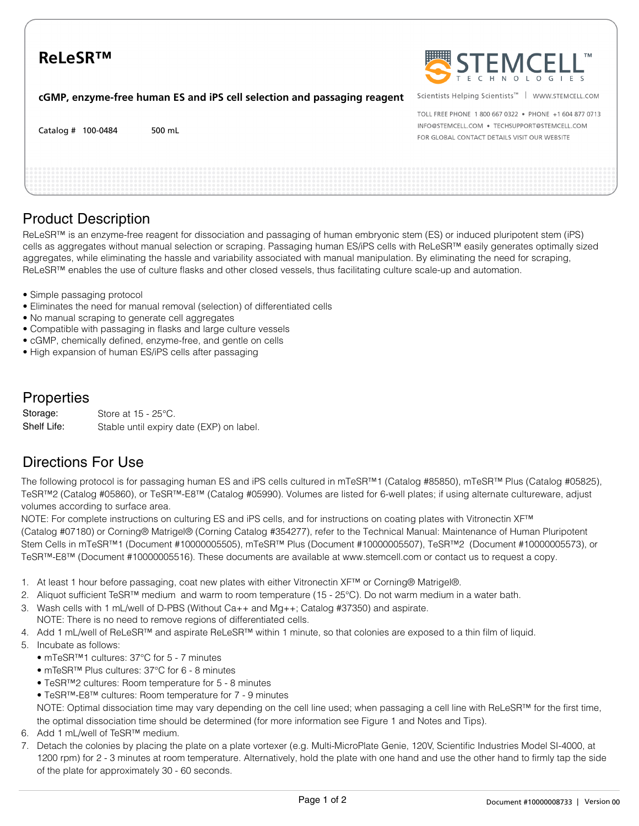# **ReLeSR™**

**cGMP, enzyme-free human ES and iPS cell selection and passaging reagent**





Scientists Helping Scientists™ | WWW.STEMCELL.COM

TOLL EREE PHONE 1 800 667 0322 · PHONE +1 604 877 0713 INFO@STEMCELL.COM . TECHSUPPORT@STEMCELL.COM FOR GLOBAL CONTACT DETAILS VISIT OUR WEBSITE

### Product Description

ReLeSR™ is an enzyme-free reagent for dissociation and passaging of human embryonic stem (ES) or induced pluripotent stem (iPS) cells as aggregates without manual selection or scraping. Passaging human ES/iPS cells with ReLeSR™ easily generates optimally sized aggregates, while eliminating the hassle and variability associated with manual manipulation. By eliminating the need for scraping, ReLeSR™ enables the use of culture flasks and other closed vessels, thus facilitating culture scale-up and automation.

- Simple passaging protocol
- Eliminates the need for manual removal (selection) of differentiated cells
- No manual scraping to generate cell aggregates
- Compatible with passaging in flasks and large culture vessels
- cGMP, chemically defined, enzyme-free, and gentle on cells
- High expansion of human ES/iPS cells after passaging

#### **Properties**

Store at 15 - 25°C. Stable until expiry date (EXP) on label. Storage: Shelf Life:

#### Directions For Use

The following protocol is for passaging human ES and iPS cells cultured in mTeSR™1 (Catalog #85850), mTeSR™ Plus (Catalog #05825), TeSR™2 (Catalog #05860), or TeSR™-E8™ (Catalog #05990). Volumes are listed for 6-well plates; if using alternate cultureware, adjust volumes according to surface area.

NOTE: For complete instructions on culturing ES and iPS cells, and for instructions on coating plates with Vitronectin XF™ (Catalog #07180) or Corning® Matrigel® (Corning Catalog #354277), refer to the Technical Manual: Maintenance of Human Pluripotent Stem Cells in mTeSR™1 (Document #10000005505), mTeSR™ Plus (Document #10000005507), TeSR™2 (Document #10000005573), or TeSR™-E8™ (Document #10000005516). These documents are available at www.stemcell.com or contact us to request a copy.

- 1. At least 1 hour before passaging, coat new plates with either Vitronectin XF™ or Corning® Matrigel®.
- 2. Aliquot sufficient TeSR™ medium and warm to room temperature (15 25°C). Do not warm medium in a water bath.
- 3. Wash cells with 1 mL/well of D-PBS (Without Ca++ and Mg++; Catalog #37350) and aspirate.
- NOTE: There is no need to remove regions of differentiated cells.
- 4. Add 1 mL/well of ReLeSR™ and aspirate ReLeSR™ within 1 minute, so that colonies are exposed to a thin film of liquid.
- 5. Incubate as follows:
	- mTeSR™1 cultures: 37°C for 5 7 minutes
	- mTeSR™ Plus cultures: 37°C for 6 8 minutes
	- TeSR™2 cultures: Room temperature for 5 8 minutes
	- TeSR™-E8™ cultures: Room temperature for 7 9 minutes

NOTE: Optimal dissociation time may vary depending on the cell line used; when passaging a cell line with ReLeSR™ for the first time, the optimal dissociation time should be determined (for more information see Figure 1 and Notes and Tips).

- 6. Add 1 mL/well of TeSR™ medium.
- 7. Detach the colonies by placing the plate on a plate vortexer (e.g. Multi-MicroPlate Genie, 120V, Scientific Industries Model SI-4000, at 1200 rpm) for 2 - 3 minutes at room temperature. Alternatively, hold the plate with one hand and use the other hand to firmly tap the side of the plate for approximately 30 - 60 seconds.